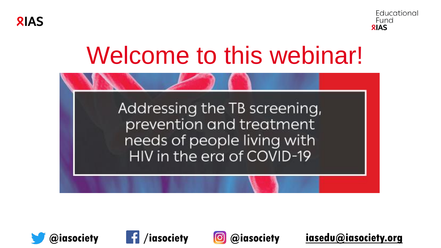



## Welcome to this webinar!







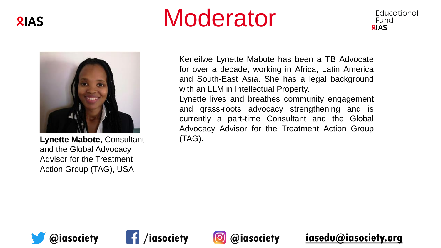

## Moderator





**Lynette Mabote**, Consultant and the Global Advocacy Advisor for the Treatment Action Group (TAG), USA

Keneilwe Lynette Mabote has been a TB Advocate for over a decade, working in Africa, Latin America and South-East Asia. She has a legal background with an LLM in Intellectual Property.

Lynette lives and breathes community engagement and grass-roots advocacy strengthening and is currently a part-time Consultant and the Global Advocacy Advisor for the Treatment Action Group (TAG).





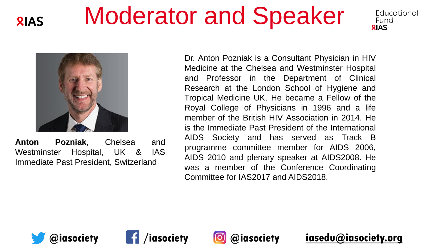## Moderator and Speaker



**RIAS** 

**Anton Pozniak**, Chelsea and Westminster Hospital, UK & IAS Immediate Past President, Switzerland

Dr. Anton Pozniak is a Consultant Physician in HIV Medicine at the Chelsea and Westminster Hospital and Professor in the Department of Clinical Research at the London School of Hygiene and Tropical Medicine UK. He became a Fellow of the Royal College of Physicians in 1996 and a life member of the British HIV Association in 2014. He is the Immediate Past President of the International AIDS Society and has served as Track B programme committee member for AIDS 2006, AIDS 2010 and plenary speaker at AIDS2008. He was a member of the Conference Coordinating Committee for IAS2017 and AIDS2018.







**@iasociety /iasociety @iasociety [iasedu@iasociety.org](mailto:iasedu@iasociety.org)**

Educational

Fund **RIAS**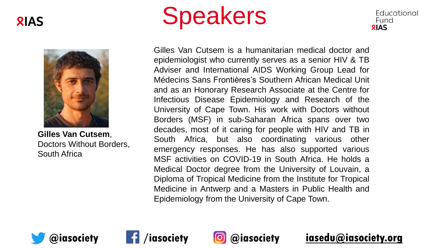



**Gilles Van Cutsem**, Doctors Without Borders, South Africa





Gilles Van Cutsem is a humanitarian medical doctor and epidemiologist who currently serves as a senior HIV & TB Adviser and International AIDS Working Group Lead for Médecins Sans Frontières's Southern African Medical Unit and as an Honorary Research Associate at the Centre for Infectious Disease Epidemiology and Research of the University of Cape Town. His work with Doctors without Borders (MSF) in sub-Saharan Africa spans over two decades, most of it caring for people with HIV and TB in South Africa, but also coordinating various other emergency responses. He has also supported various MSF activities on COVID-19 in South Africa. He holds a Medical Doctor degree from the University of Louvain, a Diploma of Tropical Medicine from the Institute for Tropical Medicine in Antwerp and a Masters in Public Health and Epidemiology from the University of Cape Town.





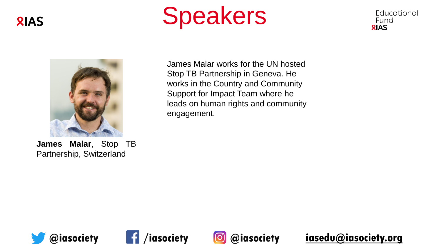







**James Malar**, Stop TB Partnership, Switzerland

James Malar works for the UN hosted Stop TB Partnership in Geneva. He works in the Country and Community Support for Impact Team where he leads on human rights and community engagement.







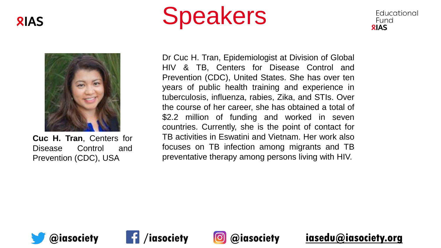







**Cuc H. Tran**, Centers for Disease Control and Prevention (CDC), USA

Dr Cuc H. Tran, Epidemiologist at Division of Global HIV & TB, Centers for Disease Control and Prevention (CDC), United States. She has over ten years of public health training and experience in tuberculosis, influenza, rabies, Zika, and STIs. Over the course of her career, she has obtained a total of \$2.2 million of funding and worked in seven countries. Currently, she is the point of contact for TB activities in Eswatini and Vietnam. Her work also focuses on TB infection among migrants and TB preventative therapy among persons living with HIV.





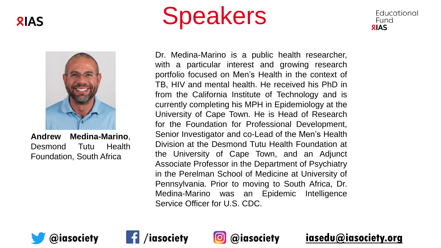



**Andrew Medina-Marino**, Desmond Tutu Health Foundation, South Africa





Dr. Medina-Marino is a public health researcher, with a particular interest and growing research portfolio focused on Men's Health in the context of TB, HIV and mental health. He received his PhD in from the California Institute of Technology and is currently completing his MPH in Epidemiology at the University of Cape Town. He is Head of Research for the Foundation for Professional Development, Senior Investigator and co-Lead of the Men's Health Division at the Desmond Tutu Health Foundation at the University of Cape Town, and an Adjunct Associate Professor in the Department of Psychiatry in the Perelman School of Medicine at University of Pennsylvania. Prior to moving to South Africa, Dr. Medina-Marino was an Epidemic Intelligence Service Officer for U.S. CDC.





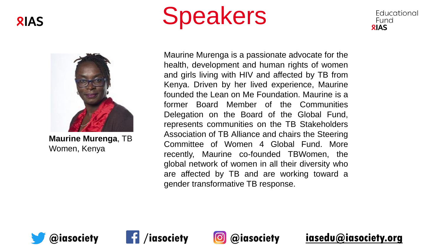



**Maurine Murenga**, TB Women, Kenya





Maurine Murenga is a passionate advocate for the health, development and human rights of women and girls living with HIV and affected by TB from Kenya. Driven by her lived experience, Maurine founded the Lean on Me Foundation. Maurine is a former Board Member of the Communities Delegation on the Board of the Global Fund, represents communities on the TB Stakeholders Association of TB Alliance and chairs the Steering Committee of Women 4 Global Fund. More recently, Maurine co-founded TBWomen, the global network of women in all their diversity who are affected by TB and are working toward a gender transformative TB response.